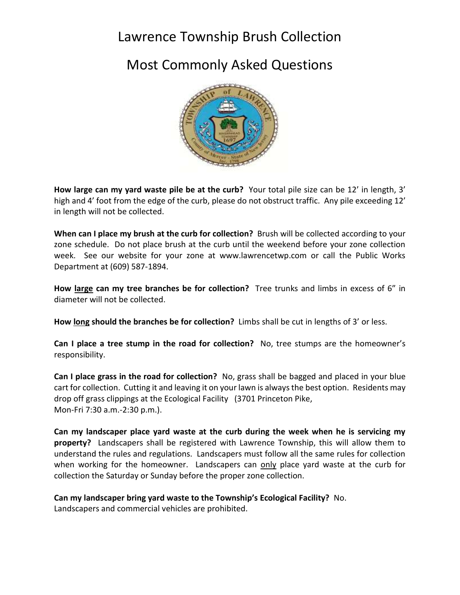## Lawrence Township Brush Collection

## Most Commonly Asked Questions



**How large can my yard waste pile be at the curb?** Your total pile size can be 12' in length, 3' high and 4' foot from the edge of the curb, please do not obstruct traffic. Any pile exceeding 12' in length will not be collected.

**When can I place my brush at the curb for collection?** Brush will be collected according to your zone schedule. Do not place brush at the curb until the weekend before your zone collection week. See our website for your zone at www.lawrencetwp.com or call the Public Works Department at (609) 587-1894.

**How large can my tree branches be for collection?** Tree trunks and limbs in excess of 6" in diameter will not be collected.

**How long should the branches be for collection?** Limbs shall be cut in lengths of 3' or less.

**Can I place a tree stump in the road for collection?** No, tree stumps are the homeowner's responsibility.

**Can I place grass in the road for collection?** No, grass shall be bagged and placed in your blue cart for collection. Cutting it and leaving it on your lawn is always the best option. Residents may drop off grass clippings at the Ecological Facility (3701 Princeton Pike, Mon-Fri 7:30 a.m.-2:30 p.m.).

**Can my landscaper place yard waste at the curb during the week when he is servicing my property?** Landscapers shall be registered with Lawrence Township, this will allow them to understand the rules and regulations. Landscapers must follow all the same rules for collection when working for the homeowner. Landscapers can only place yard waste at the curb for collection the Saturday or Sunday before the proper zone collection.

## **Can my landscaper bring yard waste to the Township's Ecological Facility?** No.

Landscapers and commercial vehicles are prohibited.